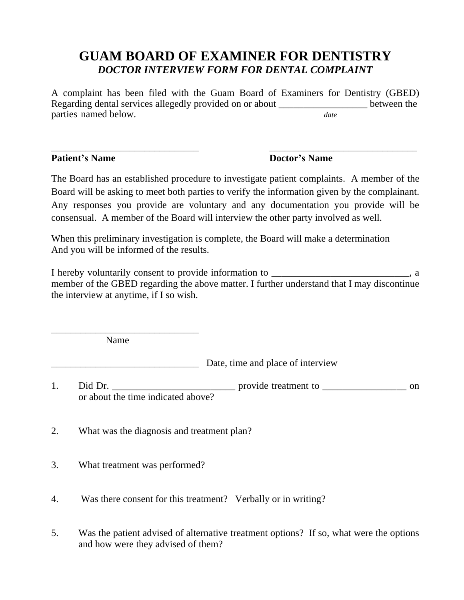## **GUAM BOARD OF EXAMINER FOR DENTISTRY** *DOCTOR INTERVIEW FORM FOR DENTAL COMPLAINT*

A complaint has been filed with the Guam Board of Examiners for Dentistry (GBED) Regarding dental services allegedly provided on or about \_\_\_\_\_\_\_\_\_\_\_\_\_\_\_\_\_\_\_\_\_\_ between the parties named below. *date* 

\_\_\_\_\_\_\_\_\_\_\_\_\_\_\_\_\_\_\_\_\_\_\_\_\_\_\_\_\_\_ \_\_\_\_\_\_\_\_\_\_\_\_\_\_\_\_\_\_\_\_\_\_\_\_\_\_\_\_\_\_

## **Patient's Name Doctor's Name**

The Board has an established procedure to investigate patient complaints. A member of the Board will be asking to meet both parties to verify the information given by the complainant. Any responses you provide are voluntary and any documentation you provide will be consensual. A member of the Board will interview the other party involved as well.

When this preliminary investigation is complete, the Board will make a determination And you will be informed of the results.

I hereby voluntarily consent to provide information to  $\blacksquare$ member of the GBED regarding the above matter. I further understand that I may discontinue the interview at anytime, if I so wish.

Name

\_\_\_\_\_\_\_\_\_\_\_\_\_\_\_\_\_\_\_\_\_\_\_\_\_\_\_\_\_\_

\_\_\_\_\_\_\_\_\_\_\_\_\_\_\_\_\_\_\_\_\_\_\_\_\_\_\_\_\_\_ Date, time and place of interview

1. Did Dr. \_\_\_\_\_\_\_\_\_\_\_\_\_\_\_\_\_\_\_\_\_\_\_\_\_ provide treatment to \_\_\_\_\_\_\_\_\_\_\_\_\_\_\_\_\_ on or about the time indicated above?

- 2. What was the diagnosis and treatment plan?
- 3. What treatment was performed?

4. Was there consent for this treatment? Verbally or in writing?

5. Was the patient advised of alternative treatment options? If so, what were the options and how were they advised of them?